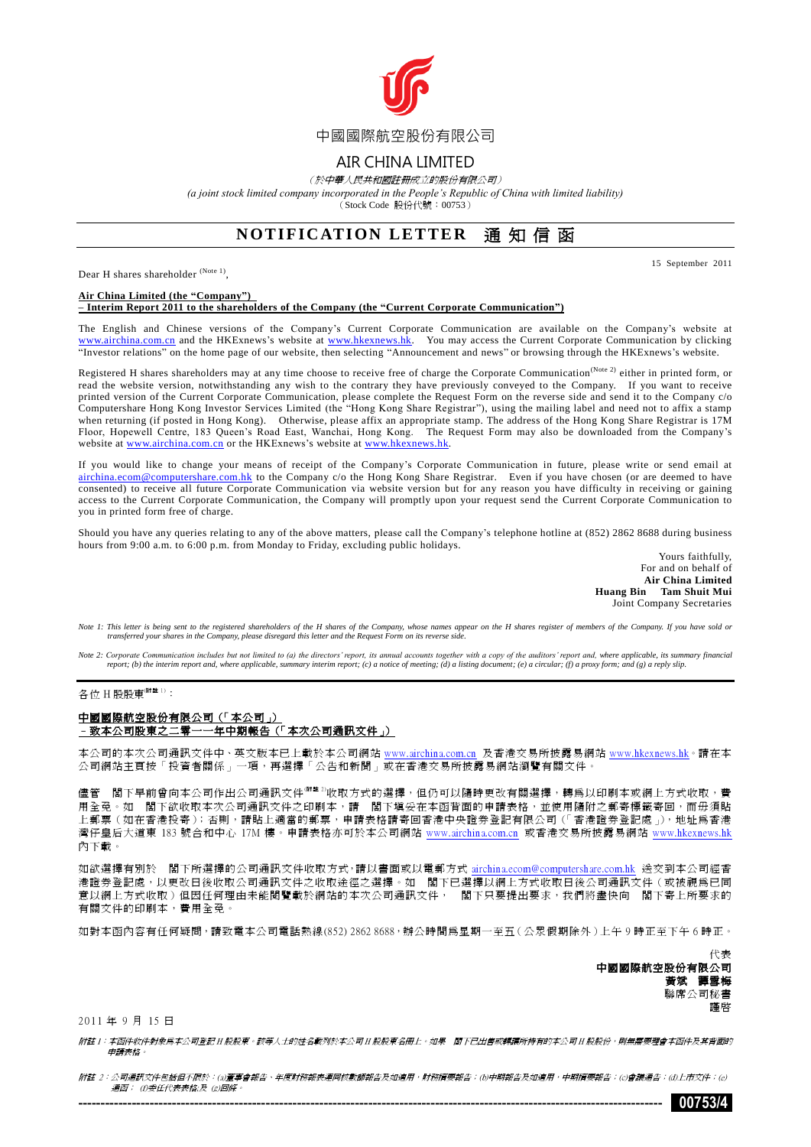

### AIR CHINA LIMITED

(於中華人民共和國註冊成立的股份有限公司)

*(a joint stock limited company incorporated in the People's Republic of China with limited liability)*

(Stock Code 股份代號:00753)

## **NOTIFICATION LETTER** 通知信函

Dear H shares shareholder (Note 1),

15 September 2011

#### **Air China Limited (the "Company")**

#### **– Interim Report 2011 to the shareholders of the Company (the "Current Corporate Communication")**

The English and Chinese versions of the Company's Current Corporate Communication are available on the Company's website at [www.airchina.com.cn](http://www.airchina.com.cn/en/index.shtml) and the HKExnews's website at [www.hkexnews.hk.](http://www.hkexnews.hk/) You may access the Current Corporate Communication by clicking "Investor relations" on the home page of our website, then selecting "Announcement and news" or browsing through the HKExnews's website.

Registered H shares shareholders may at any time choose to receive free of charge the Corporate Communication<sup>(Note 2)</sup> either in printed form, or read the website version, notwithstanding any wish to the contrary they have previously conveyed to the Company. If you want to receive printed version of the Current Corporate Communication, please complete the Request Form on the reverse side and send it to the Company c/o Computershare Hong Kong Investor Services Limited (the "Hong Kong Share Registrar"), using the mailing label and need not to affix a stamp when returning (if posted in Hong Kong). Otherwise, please affix an appropriate stamp. The address of the Hong Kong Share Registrar is 17M Floor, Hopewell Centre, 183 Queen's Road East, Wanchai, Hong Kong. The Request Form may also be downloaded from the Company's website at [www.airchina.com.cn](http://www.airchina.com.cn/en/index.shtml) or the HKExnews's website at [www.hkexnews.hk.](http://www.hkexnews.hk/)

If you would like to change your means of receipt of the Company's Corporate Communication in future, please write or send email at [airchina.ecom@computershare.com.hk](mailto:airchina.ecom@computershare.com.hk) to the Company c/o the Hong Kong Share Registrar. Even if you have chosen (or are deemed to have consented) to receive all future Corporate Communication via website version but for any reason you have difficulty in receiving or gaining access to the Current Corporate Communication, the Company will promptly upon your request send the Current Corporate Communication to you in printed form free of charge.

Should you have any queries relating to any of the above matters, please call the Company's telephone hotline at (852) 2862 8688 during business hours from 9:00 a.m. to 6:00 p.m. from Monday to Friday, excluding public holidays.

Yours faithfully, For and on behalf of **Air China Limited Huang Bin Tam Shuit Mui** Joint Company Secretaries

*Note 1: This letter is being sent to the registered shareholders of the H shares of the Company, whose names appear on the H shares register of members of the Company. If you have sold or transferred your shares in the Company, please disregard this letter and the Request Form on its reverse side.*

*Note 2: Corporate Communication includes but not limited to (a) the directors' report, its annual accounts together with a copy of the auditors' report and, where applicable, its summary financial report; (b) the interim report and, where applicable, summary interim report; (c) a notice of meeting; (d) a listing document; (e) a circular; (f) a proxy form; and (g) a reply slip.*

### 各位 H 股股東 $^{\left(\text{M E I}\right)}$ :

### 中國國際航空股份有限公司(「本公司」) –致本公司股東之二零一一年中期報告(「本次公司通訊文件」)

本公司的本次公司通訊文件中、英文版本已上載於本公司網站 [www.airchina.com.cn](http://big5.airchina.com.cn/index.shtml) 及香港交易所披露易網站 [www.hkexnews.hk。](http://www.hkexnews.hk/index_c.htm)請在本 公司網站主頁按「投資者關係」一項,再選擇「公告和新聞」或在香港交易所披露易網站瀏覽有關文件。

儘管 閣下早前曾向本公司作出公司通訊文件<sup>(解註 2)</sup>收取方式的選擇,但仍可以隨時更改有關選擇,轉爲以印刷本或網上方式收取,費 用全免。如 閣下欲收取本次公司通訊文件之印刷本,請 閣下填妥在本函背面的申請表格,並使用隨附之郵寄標籤寄回,而毋須貼 上郵票(如在香港投寄);否則,請貼上適當的郵票,申請表格請寄回香港中央證券登記有限公司(「香港證券登記處」),地址為香港 灣仔皇后大道東 183 號合和中心 17M 樓。申請表格亦可於本公司網站 [www.airchina.com.cn](http://big5.airchina.com.cn/index.shtml) 或香港交易所披露易網站 [www.hkexnews.hk](http://www.hkexnews.hk/index_c.htm) 內下載。

如欲選擇有別於 閣下所選擇的公司通訊文件收取方式,請以書面或以電郵方式 [airchina.ecom@computershare.com.hk](mailto:airchina.ecom@computershare.com.hk) 送交到本公司經香 港證券登記處,以更改日後收取公司通訊文件之收取途徑之選擇。如 閣下已選擇以網上方式收取日後公司通訊文件(或被視為已同 意以網上方式收取)但因任何理由未能閱覽載於網站的本次公司通訊文件, 閣下只要提出要求,我們將盡快向 閣下寄上所要求的 有關文件的印刷本,費用全免。

如對本函內容有任何疑問,請致電本公司電話熱線(852) 2862 8688,辦公時間為星期一至五(公眾假期除外)上午 9 時正至下午 6 時正。

代表 中國國際航空股份有限公司 黃斌 譚雪梅 聯席公司秘書 謹啟

#### 2011 年 9 月 15 日

附註 1:本函件收件對象為本公司登記 H 股股東。該等人士的姓名載列於本公司 H 股股東名冊上。如果 閣下已出售或轉讓所持有的本公司 H 股股份,則無需要理會本函件及其背面的 申請表格。

附註 2:公司通訊文件包括但不限於:(a)董事會報告、年度財務報表連同核數師報告及如適用,財務摘要報告;(b)中期報告及如適用,中期摘要報告;(c)會議通告;(d)上市文件;(e) 通函; (f)委任代表表格;及 (g)回條。 ----------------------------------------------------------------------------------------------------------------------------------- **00753/4**